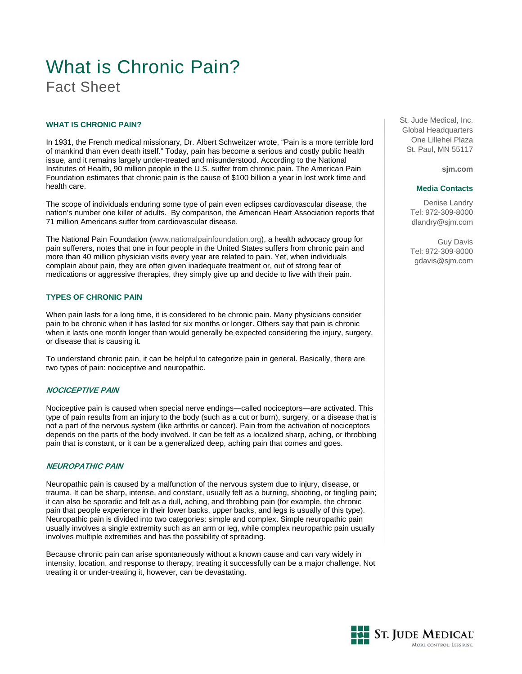# What is Chronic Pain? Fact Sheet

#### **WHAT IS CHRONIC PAIN?**

In 1931, the French medical missionary, Dr. Albert Schweitzer wrote, "Pain is a more terrible lord of mankind than even death itself." Today, pain has become a serious and costly public health issue, and it remains largely under-treated and misunderstood. According to the National Institutes of Health, 90 million people in the U.S. suffer from chronic pain. The American Pain Foundation estimates that chronic pain is the cause of \$100 billion a year in lost work time and health care.

The scope of individuals enduring some type of pain even eclipses cardiovascular disease, the nation's number one killer of adults. By comparison, the American Heart Association reports that 71 million Americans suffer from cardiovascular disease.

The National Pain Foundation ([www.nationalpainfoundation.org\)](http://www.nationalpainfoundation.org/), a health advocacy group for pain sufferers, notes that one in four people in the United States suffers from chronic pain and more than 40 million physician visits every year are related to pain. Yet, when individuals complain about pain, they are often given inadequate treatment or, out of strong fear of medications or aggressive therapies, they simply give up and decide to live with their pain.

# **TYPES OF CHRONIC PAIN**

When pain lasts for a long time, it is considered to be chronic pain. Many physicians consider pain to be chronic when it has lasted for six months or longer. Others say that pain is chronic when it lasts one month longer than would generally be expected considering the injury, surgery, or disease that is causing it.

To understand chronic pain, it can be helpful to categorize pain in general. Basically, there are two types of pain: nociceptive and neuropathic.

# **NOCICEPTIVE PAIN**

Nociceptive pain is caused when special nerve endings—called nociceptors—are activated. This type of pain results from an injury to the body (such as a cut or burn), surgery, or a disease that is not a part of the nervous system (like arthritis or cancer). Pain from the activation of nociceptors depends on the parts of the body involved. It can be felt as a localized sharp, aching, or throbbing pain that is constant, or it can be a generalized deep, aching pain that comes and goes.

#### **NEUROPATHIC PAIN**

Neuropathic pain is caused by a malfunction of the nervous system due to injury, disease, or trauma. It can be sharp, intense, and constant, usually felt as a burning, shooting, or tingling pain; it can also be sporadic and felt as a dull, aching, and throbbing pain (for example, the chronic pain that people experience in their lower backs, upper backs, and legs is usually of this type). Neuropathic pain is divided into two categories: simple and complex. Simple neuropathic pain usually involves a single extremity such as an arm or leg, while complex neuropathic pain usually involves multiple extremities and has the possibility of spreading.

Because chronic pain can arise spontaneously without a known cause and can vary widely in intensity, location, and response to therapy, treating it successfully can be a major challenge. Not treating it or under-treating it, however, can be devastating.

St. Jude Medical, Inc. Global Headquarters One Lillehei Plaza St. Paul, MN 55117

**sjm.com**

#### **Media Contacts**

Denise Landry Tel: 972-309-8000 dlandry@sjm.com

Guy Davis Tel: 972-309-8000 gdavis@sjm.com